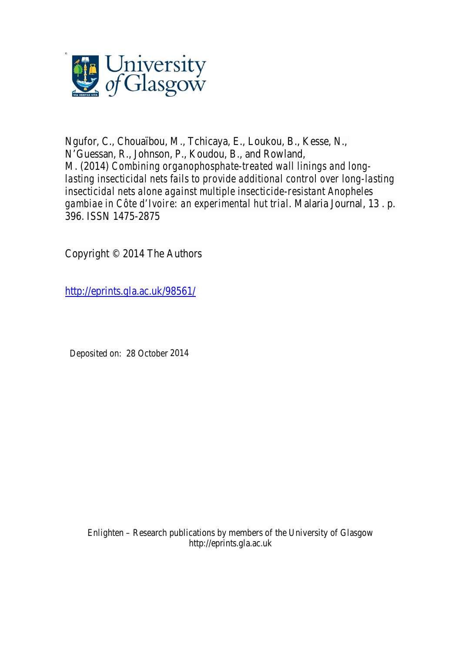

Ngufor, C., Chouaïbou, M., Tchicaya, E., Loukou, B., Kesse, N., N'Guessan, R., Johnson, P., Koudou, B., and Rowland, M. (2014) *Combining organophosphate-treated wall linings and longlasting insecticidal nets fails to provide additional control over long-lasting insecticidal nets alone against multiple insecticide-resistant Anopheles gambiae in Côte d'Ivoire: an experimental hut trial.* Malaria Journal, 13 . p. 396. ISSN 1475-2875

Copyright © 2014 The Authors

http://eprints.gla.ac.uk/98561/

Deposited on: 28 October 2014

Enlighten – Research publications by members of the University of Glasgow http://eprints.gla.ac.uk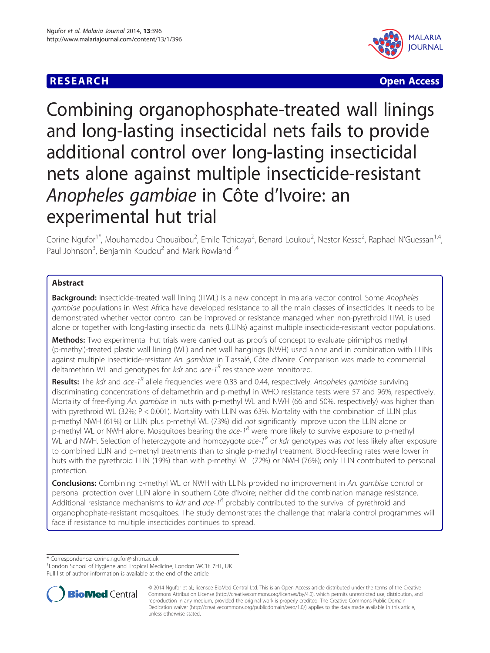# **RESEARCH CHEAR CHEAR CHEAR CHEAR CHEAR CHEAR CHEAR CHEAR CHEAR CHEAR CHEAR CHEAR CHEAR CHEAR CHEAR CHEAR CHEAR**



# Combining organophosphate-treated wall linings and long-lasting insecticidal nets fails to provide additional control over long-lasting insecticidal nets alone against multiple insecticide-resistant Anopheles gambiae in Côte d'Ivoire: an experimental hut trial

Corine Ngufor<sup>1\*</sup>, Mouhamadou Chouaïbou<sup>2</sup>, Emile Tchicaya<sup>2</sup>, Benard Loukou<sup>2</sup>, Nestor Kesse<sup>2</sup>, Raphael N'Guessan<sup>1,4</sup>, Paul Johnson<sup>3</sup>, Benjamin Koudou<sup>2</sup> and Mark Rowland<sup>1,4</sup>

# **Abstract**

**Background:** Insecticide-treated wall lining (ITWL) is a new concept in malaria vector control. Some Anopheles gambiae populations in West Africa have developed resistance to all the main classes of insecticides. It needs to be demonstrated whether vector control can be improved or resistance managed when non-pyrethroid ITWL is used alone or together with long-lasting insecticidal nets (LLINs) against multiple insecticide-resistant vector populations.

Methods: Two experimental hut trials were carried out as proofs of concept to evaluate pirimiphos methyl (p-methyl)-treated plastic wall lining (WL) and net wall hangings (NWH) used alone and in combination with LLINs against multiple insecticide-resistant An. gambiae in Tiassalé, Côte d'Ivoire. Comparison was made to commercial deltamethrin WL and genotypes for kdr and  $ace-1<sup>R</sup>$  resistance were monitored.

**Results:** The kdr and ace-1<sup>R</sup> allele frequencies were 0.83 and 0.44, respectively. Anopheles gambiae surviving discriminating concentrations of deltamethrin and p-methyl in WHO resistance tests were 57 and 96%, respectively. Mortality of free-flying An. gambiae in huts with p-methyl WL and NWH (66 and 50%, respectively) was higher than with pyrethroid WL (32%; P < 0.001). Mortality with LLIN was 63%. Mortality with the combination of LLIN plus p-methyl NWH (61%) or LLIN plus p-methyl WL (73%) did not significantly improve upon the LLIN alone or p-methyl WL or NWH alone. Mosquitoes bearing the  $ace-1<sup>R</sup>$  were more likely to survive exposure to p-methyl WL and NWH. Selection of heterozygote and homozygote ace- $1<sup>R</sup>$  or kdr genotypes was not less likely after exposure to combined LLIN and p-methyl treatments than to single p-methyl treatment. Blood-feeding rates were lower in huts with the pyrethroid LLIN (19%) than with p-methyl WL (72%) or NWH (76%); only LLIN contributed to personal protection.

**Conclusions:** Combining p-methyl WL or NWH with LLINs provided no improvement in An. gambiae control or personal protection over LLIN alone in southern Côte d'Ivoire; neither did the combination manage resistance. Additional resistance mechanisms to kdr and  $ace-1<sup>R</sup>$  probably contributed to the survival of pyrethroid and organophophate-resistant mosquitoes. The study demonstrates the challenge that malaria control programmes will face if resistance to multiple insecticides continues to spread.

\* Correspondence: [corine.ngufor@lshtm.ac.uk](mailto:corine.ngufor@lshtm.ac.uk) <sup>1</sup>

<sup>1</sup> London School of Hygiene and Tropical Medicine, London WC1E 7HT, UK Full list of author information is available at the end of the article



<sup>© 2014</sup> Ngufor et al.; licensee BioMed Central Ltd. This is an Open Access article distributed under the terms of the Creative Commons Attribution License [\(http://creativecommons.org/licenses/by/4.0\)](http://creativecommons.org/licenses/by/4.0), which permits unrestricted use, distribution, and reproduction in any medium, provided the original work is properly credited. The Creative Commons Public Domain Dedication waiver [\(http://creativecommons.org/publicdomain/zero/1.0/](http://creativecommons.org/publicdomain/zero/1.0/)) applies to the data made available in this article, unless otherwise stated.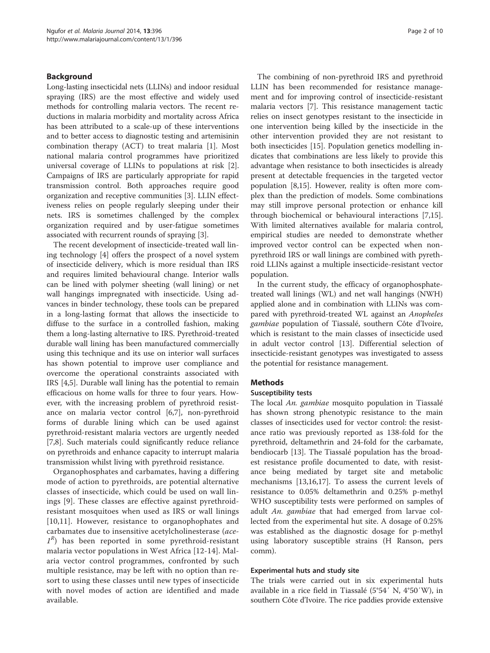## Background

Long-lasting insecticidal nets (LLINs) and indoor residual spraying (IRS) are the most effective and widely used methods for controlling malaria vectors. The recent reductions in malaria morbidity and mortality across Africa has been attributed to a scale-up of these interventions and to better access to diagnostic testing and artemisinin combination therapy (ACT) to treat malaria [\[1](#page-9-0)]. Most national malaria control programmes have prioritized universal coverage of LLINs to populations at risk [\[2](#page-9-0)]. Campaigns of IRS are particularly appropriate for rapid transmission control. Both approaches require good organization and receptive communities [\[3](#page-9-0)]. LLIN effectiveness relies on people regularly sleeping under their nets. IRS is sometimes challenged by the complex organization required and by user-fatigue sometimes associated with recurrent rounds of spraying [\[3](#page-9-0)].

The recent development of insecticide-treated wall lining technology [\[4](#page-9-0)] offers the prospect of a novel system of insecticide delivery, which is more residual than IRS and requires limited behavioural change. Interior walls can be lined with polymer sheeting (wall lining) or net wall hangings impregnated with insecticide. Using advances in binder technology, these tools can be prepared in a long-lasting format that allows the insecticide to diffuse to the surface in a controlled fashion, making them a long-lasting alternative to IRS. Pyrethroid-treated durable wall lining has been manufactured commercially using this technique and its use on interior wall surfaces has shown potential to improve user compliance and overcome the operational constraints associated with IRS [\[4,5](#page-9-0)]. Durable wall lining has the potential to remain efficacious on home walls for three to four years. However, with the increasing problem of pyrethroid resistance on malaria vector control [[6,7\]](#page-9-0), non-pyrethroid forms of durable lining which can be used against pyrethroid-resistant malaria vectors are urgently needed [[7,8\]](#page-9-0). Such materials could significantly reduce reliance on pyrethroids and enhance capacity to interrupt malaria transmission whilst living with pyrethroid resistance.

Organophosphates and carbamates, having a differing mode of action to pyrethroids, are potential alternative classes of insecticide, which could be used on wall linings [[9\]](#page-9-0). These classes are effective against pyrethroidresistant mosquitoes when used as IRS or wall linings [[10,11\]](#page-9-0). However, resistance to organophophates and carbamates due to insensitive acetylcholinesterase (ace- $1<sup>R</sup>$ ) has been reported in some pyrethroid-resistant malaria vector populations in West Africa [\[12-14](#page-9-0)]. Malaria vector control programmes, confronted by such multiple resistance, may be left with no option than resort to using these classes until new types of insecticide with novel modes of action are identified and made available.

The combining of non-pyrethroid IRS and pyrethroid LLIN has been recommended for resistance management and for improving control of insecticide-resistant malaria vectors [[7](#page-9-0)]. This resistance management tactic relies on insect genotypes resistant to the insecticide in one intervention being killed by the insecticide in the other intervention provided they are not resistant to both insecticides [\[15](#page-9-0)]. Population genetics modelling indicates that combinations are less likely to provide this advantage when resistance to both insecticides is already present at detectable frequencies in the targeted vector population [\[8,15](#page-9-0)]. However, reality is often more complex than the prediction of models. Some combinations may still improve personal protection or enhance kill through biochemical or behavioural interactions [\[7,15](#page-9-0)]. With limited alternatives available for malaria control, empirical studies are needed to demonstrate whether improved vector control can be expected when nonpyrethroid IRS or wall linings are combined with pyrethroid LLINs against a multiple insecticide-resistant vector population.

In the current study, the efficacy of organophosphatetreated wall linings (WL) and net wall hangings (NWH) applied alone and in combination with LLINs was compared with pyrethroid-treated WL against an Anopheles gambiae population of Tiassalé, southern Côte d'Ivoire, which is resistant to the main classes of insecticide used in adult vector control [\[13](#page-9-0)]. Differential selection of insecticide-resistant genotypes was investigated to assess the potential for resistance management.

# **Methods**

#### Susceptibility tests

The local An. gambiae mosquito population in Tiassalé has shown strong phenotypic resistance to the main classes of insecticides used for vector control: the resistance ratio was previously reported as 138-fold for the pyrethroid, deltamethrin and 24-fold for the carbamate, bendiocarb [[13\]](#page-9-0). The Tiassalé population has the broadest resistance profile documented to date, with resistance being mediated by target site and metabolic mechanisms [\[13,16,](#page-9-0)[17\]](#page-10-0). To assess the current levels of resistance to 0.05% deltamethrin and 0.25% p-methyl WHO susceptibility tests were performed on samples of adult An. *gambiae* that had emerged from larvae collected from the experimental hut site. A dosage of 0.25% was established as the diagnostic dosage for p-methyl using laboratory susceptible strains (H Ranson, pers comm).

#### Experimental huts and study site

The trials were carried out in six experimental huts available in a rice field in Tiassalé (5°54′ N, 4°50′W), in southern Côte d'Ivoire. The rice paddies provide extensive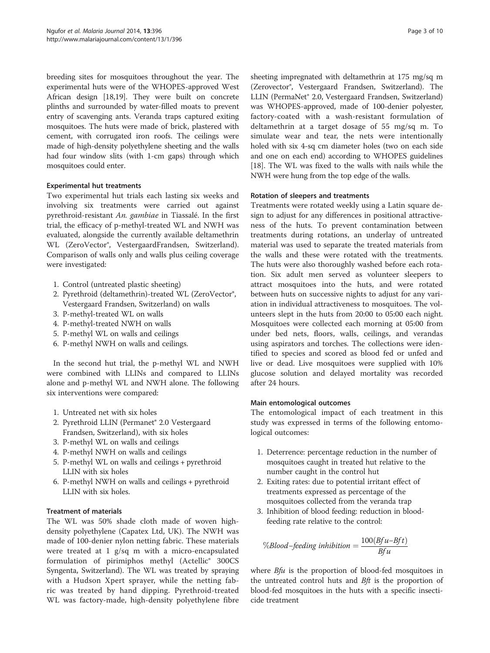breeding sites for mosquitoes throughout the year. The experimental huts were of the WHOPES-approved West African design [\[18,19\]](#page-10-0). They were built on concrete plinths and surrounded by water-filled moats to prevent entry of scavenging ants. Veranda traps captured exiting mosquitoes. The huts were made of brick, plastered with cement, with corrugated iron roofs. The ceilings were made of high-density polyethylene sheeting and the walls had four window slits (with 1-cm gaps) through which mosquitoes could enter.

## Experimental hut treatments

Two experimental hut trials each lasting six weeks and involving six treatments were carried out against pyrethroid-resistant An. gambiae in Tiassalé. In the first trial, the efficacy of p-methyl-treated WL and NWH was evaluated, alongside the currently available deltamethrin WL (ZeroVector®, VestergaardFrandsen, Switzerland). Comparison of walls only and walls plus ceiling coverage were investigated:

- 1. Control (untreated plastic sheeting)
- 2. Pyrethroid (deltamethrin)-treated WL (ZeroVector®, Vestergaard Frandsen, Switzerland) on walls
- 3. P-methyl-treated WL on walls
- 4. P-methyl-treated NWH on walls
- 5. P-methyl WL on walls and ceilings
- 6. P-methyl NWH on walls and ceilings.

In the second hut trial, the p-methyl WL and NWH were combined with LLINs and compared to LLINs alone and p-methyl WL and NWH alone. The following six interventions were compared:

- 1. Untreated net with six holes
- 2. Pyrethroid LLIN (Permanet® 2.0 Vestergaard Frandsen, Switzerland), with six holes
- 3. P-methyl WL on walls and ceilings
- 4. P-methyl NWH on walls and ceilings
- 5. P-methyl WL on walls and ceilings + pyrethroid LLIN with six holes
- 6. P-methyl NWH on walls and ceilings + pyrethroid LLIN with six holes.

# Treatment of materials

The WL was 50% shade cloth made of woven highdensity polyethylene (Capatex Ltd, UK). The NWH was made of 100-denier nylon netting fabric. These materials were treated at 1 g/sq m with a micro-encapsulated formulation of pirimiphos methyl (Actellic® 300CS Syngenta, Switzerland). The WL was treated by spraying with a Hudson Xpert sprayer, while the netting fabric was treated by hand dipping. Pyrethroid-treated WL was factory-made, high-density polyethylene fibre

sheeting impregnated with deltamethrin at 175 mg/sq m (Zerovector®, Vestergaard Frandsen, Switzerland). The LLIN (PermaNet® 2.0, Vestergaard Frandsen, Switzerland) was WHOPES-approved, made of 100-denier polyester, factory-coated with a wash-resistant formulation of deltamethrin at a target dosage of 55 mg/sq m. To simulate wear and tear, the nets were intentionally holed with six 4-sq cm diameter holes (two on each side and one on each end) according to WHOPES guidelines [[18](#page-10-0)]. The WL was fixed to the walls with nails while the NWH were hung from the top edge of the walls.

## Rotation of sleepers and treatments

Treatments were rotated weekly using a Latin square design to adjust for any differences in positional attractiveness of the huts. To prevent contamination between treatments during rotations, an underlay of untreated material was used to separate the treated materials from the walls and these were rotated with the treatments. The huts were also thoroughly washed before each rotation. Six adult men served as volunteer sleepers to attract mosquitoes into the huts, and were rotated between huts on successive nights to adjust for any variation in individual attractiveness to mosquitoes. The volunteers slept in the huts from 20:00 to 05:00 each night. Mosquitoes were collected each morning at 05:00 from under bed nets, floors, walls, ceilings, and verandas using aspirators and torches. The collections were identified to species and scored as blood fed or unfed and live or dead. Live mosquitoes were supplied with 10% glucose solution and delayed mortality was recorded after 24 hours.

## Main entomological outcomes

The entomological impact of each treatment in this study was expressed in terms of the following entomological outcomes:

- 1. Deterrence: percentage reduction in the number of mosquitoes caught in treated hut relative to the number caught in the control hut
- 2. Exiting rates: due to potential irritant effect of treatments expressed as percentage of the mosquitoes collected from the veranda trap
- 3. Inhibition of blood feeding: reduction in bloodfeeding rate relative to the control:

$$
\% Blood-feeding inhibition = \frac{100(Bfu-Bft)}{Bfu}
$$

where  $Bf\mu$  is the proportion of blood-fed mosquitoes in the untreated control huts and  $Bft$  is the proportion of blood-fed mosquitoes in the huts with a specific insecticide treatment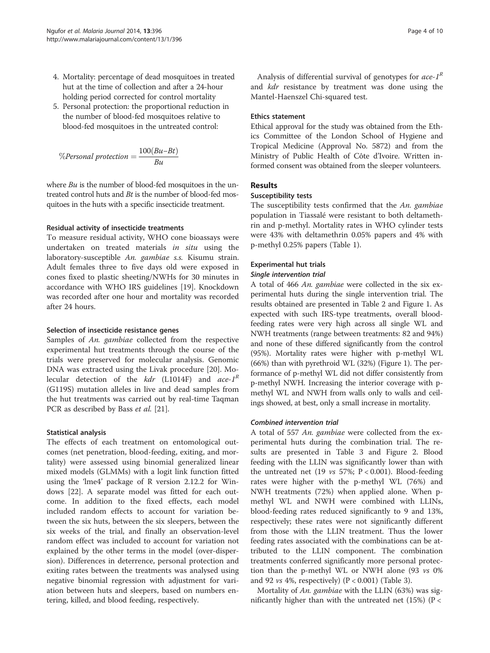- 4. Mortality: percentage of dead mosquitoes in treated hut at the time of collection and after a 24-hour holding period corrected for control mortality
- 5. Personal protection: the proportional reduction in the number of blood-fed mosquitoes relative to blood-fed mosquitoes in the untreated control:

$$
\% Personal\ protection = \frac{100(Bu-Bt)}{Bu}
$$

where  $Bu$  is the number of blood-fed mosquitoes in the untreated control huts and Bt is the number of blood-fed mosquitoes in the huts with a specific insecticide treatment.

#### Residual activity of insecticide treatments

To measure residual activity, WHO cone bioassays were undertaken on treated materials in situ using the laboratory-susceptible An. gambiae s.s. Kisumu strain. Adult females three to five days old were exposed in cones fixed to plastic sheeting/NWHs for 30 minutes in accordance with WHO IRS guidelines [[19](#page-10-0)]. Knockdown was recorded after one hour and mortality was recorded after 24 hours.

#### Selection of insecticide resistance genes

Samples of An. gambiae collected from the respective experimental hut treatments through the course of the trials were preserved for molecular analysis. Genomic DNA was extracted using the Livak procedure [\[20](#page-10-0)]. Molecular detection of the  $kdr$  (L1014F) and ace- $I<sup>R</sup>$ (G119S) mutation alleles in live and dead samples from the hut treatments was carried out by real-time Taqman PCR as described by Bass *et al.* [[21\]](#page-10-0).

## Statistical analysis

The effects of each treatment on entomological outcomes (net penetration, blood-feeding, exiting, and mortality) were assessed using binomial generalized linear mixed models (GLMMs) with a logit link function fitted using the 'lme4' package of R version 2.12.2 for Windows [[22\]](#page-10-0). A separate model was fitted for each outcome. In addition to the fixed effects, each model included random effects to account for variation between the six huts, between the six sleepers, between the six weeks of the trial, and finally an observation-level random effect was included to account for variation not explained by the other terms in the model (over-dispersion). Differences in deterrence, personal protection and exiting rates between the treatments was analysed using negative binomial regression with adjustment for variation between huts and sleepers, based on numbers entering, killed, and blood feeding, respectively.

Analysis of differential survival of genotypes for  $ace-I^R$ and kdr resistance by treatment was done using the Mantel-Haenszel Chi-squared test.

#### Ethics statement

Ethical approval for the study was obtained from the Ethics Committee of the London School of Hygiene and Tropical Medicine (Approval No. 5872) and from the Ministry of Public Health of Côte d'Ivoire. Written informed consent was obtained from the sleeper volunteers.

## Results

#### Susceptibility tests

The susceptibility tests confirmed that the An. gambiae population in Tiassalé were resistant to both deltamethrin and p-methyl. Mortality rates in WHO cylinder tests were 43% with deltamethrin 0.05% papers and 4% with p-methyl 0.25% papers (Table [1\)](#page-5-0).

## Experimental hut trials

#### Single intervention trial

A total of 466 An. gambiae were collected in the six experimental huts during the single intervention trial. The results obtained are presented in Table [2](#page-5-0) and Figure [1.](#page-6-0) As expected with such IRS-type treatments, overall bloodfeeding rates were very high across all single WL and NWH treatments (range between treatments: 82 and 94%) and none of these differed significantly from the control (95%). Mortality rates were higher with p-methyl WL (66%) than with pyrethroid WL (32%) (Figure [1](#page-6-0)). The performance of p-methyl WL did not differ consistently from p-methyl NWH. Increasing the interior coverage with pmethyl WL and NWH from walls only to walls and ceilings showed, at best, only a small increase in mortality.

## Combined intervention trial

A total of 557 An. gambiae were collected from the experimental huts during the combination trial. The results are presented in Table [3](#page-6-0) and Figure [2](#page-7-0). Blood feeding with the LLIN was significantly lower than with the untreated net (19  $vs$  57%; P < 0.001). Blood-feeding rates were higher with the p-methyl WL (76%) and NWH treatments (72%) when applied alone. When pmethyl WL and NWH were combined with LLINs, blood-feeding rates reduced significantly to 9 and 13%, respectively; these rates were not significantly different from those with the LLIN treatment. Thus the lower feeding rates associated with the combinations can be attributed to the LLIN component. The combination treatments conferred significantly more personal protection than the p-methyl WL or NWH alone (93 vs 0% and 92 *vs* 4%, respectively)  $(P < 0.001)$  (Table [3\)](#page-6-0).

Mortality of An. gambiae with the LLIN (63%) was significantly higher than with the untreated net  $(15%)$  (P <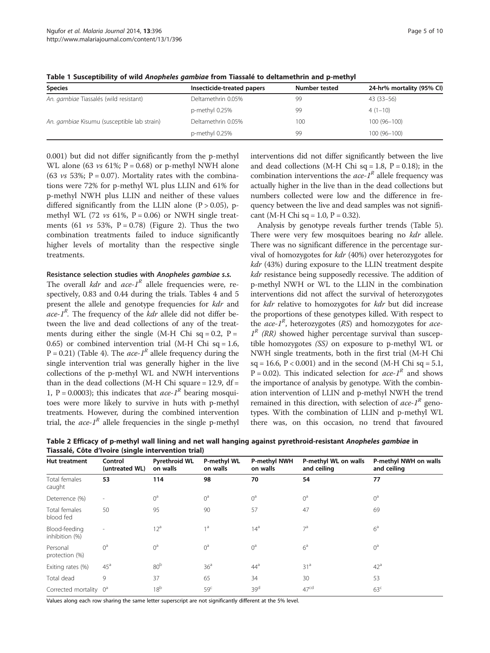<span id="page-5-0"></span>Table 1 Susceptibility of wild Anopheles gambiae from Tiassalé to deltamethrin and p-methyl

| <b>Species</b>                              | Insecticide-treated papers | Number tested | 24-hr% mortality (95% CI) |
|---------------------------------------------|----------------------------|---------------|---------------------------|
| An. gambiae Tiassalés (wild resistant)      | Deltamethrin 0.05%         | -99           | 43 (33–56)                |
|                                             | p-methyl 0.25%             | 99            | $4(1-10)$                 |
| An. gambiae Kisumu (susceptible lab strain) | Deltamethrin 0.05%         | 100           | $100(96 - 100)$           |
|                                             | p-methyl 0.25%             | 99            | $100(96 - 100)$           |

0.001) but did not differ significantly from the p-methyl WL alone (63  $vs$  61%; P = 0.68) or p-methyl NWH alone (63  $vs$  53%; P = 0.07). Mortality rates with the combinations were 72% for p-methyl WL plus LLIN and 61% for p-methyl NWH plus LLIN and neither of these values differed significantly from the LLIN alone  $(P > 0.05)$ , pmethyl WL (72  $\nu s$  61%, P = 0.06) or NWH single treatments (61  $vs$  53%, P = 0.78) (Figure [2](#page-7-0)). Thus the two combination treatments failed to induce significantly higher levels of mortality than the respective single treatments.

#### Resistance selection studies with Anopheles gambiae s.s.

The overall *kdr* and *ace-1<sup>R</sup>* allele frequencies were, respectively, 0.83 and 0.44 during the trials. Tables [4](#page-7-0) and [5](#page-8-0) present the allele and genotype frequencies for kdr and ace- $1^R$ . The frequency of the *kdr* allele did not differ between the live and dead collections of any of the treatments during either the single (M-H Chi sq = 0.2,  $P =$ 0.65) or combined intervention trial (M-H Chi  $sq = 1.6$ ,  $P = 0.21$ ) (Table [4](#page-7-0)). The *ace-1<sup>R</sup>* allele frequency during the single intervention trial was generally higher in the live collections of the p-methyl WL and NWH interventions than in the dead collections (M-H Chi square = 12.9, df = 1, P = 0.0003); this indicates that *ace-1<sup>R</sup>* bearing mosquitoes were more likely to survive in huts with p-methyl treatments. However, during the combined intervention trial, the *ace-1<sup>R</sup>* allele frequencies in the single p-methyl interventions did not differ significantly between the live and dead collections (M-H Chi  $sq = 1.8$ ,  $P = 0.18$ ); in the combination interventions the  $ace-I^R$  allele frequency was actually higher in the live than in the dead collections but numbers collected were low and the difference in frequency between the live and dead samples was not significant (M-H Chi sq = 1.0,  $P = 0.32$ ).

Analysis by genotype reveals further trends (Table [5](#page-8-0)). There were very few mosquitoes bearing no kdr allele. There was no significant difference in the percentage survival of homozygotes for kdr (40%) over heterozygotes for kdr (43%) during exposure to the LLIN treatment despite kdr resistance being supposedly recessive. The addition of p-methyl NWH or WL to the LLIN in the combination interventions did not affect the survival of heterozygotes for kdr relative to homozygotes for kdr but did increase the proportions of these genotypes killed. With respect to the  $ace-I<sup>R</sup>$ , heterozygotes (RS) and homozygotes for ace- $1^R$  (RR) showed higher percentage survival than susceptible homozygotes (SS) on exposure to p-methyl WL or NWH single treatments, both in the first trial (M-H Chi  $sq = 16.6, P < 0.001$  and in the second (M-H Chi sq = 5.1,  $P = 0.02$ ). This indicated selection for *ace-1<sup>R</sup>* and shows the importance of analysis by genotype. With the combination intervention of LLIN and p-methyl NWH the trend remained in this direction, with selection of  $ace-I^R$  genotypes. With the combination of LLIN and p-methyl WL there was, on this occasion, no trend that favoured

Table 2 Efficacy of p-methyl wall lining and net wall hanging against pyrethroid-resistant Anopheles gambiae in Tiassalé, Côte d'Ivoire (single intervention trial)

| Hut treatment                      | Control<br>(untreated WL) | <b>Pyrethroid WL</b><br>on walls | P-methyl WL<br>on walls | P-methyl NWH<br>on walls | P-methyl WL on walls<br>and ceiling | P-methyl NWH on walls<br>and ceiling |
|------------------------------------|---------------------------|----------------------------------|-------------------------|--------------------------|-------------------------------------|--------------------------------------|
| Total females<br>caught            | 53                        | 114                              | 98                      | 70                       | 54                                  | 77                                   |
| Deterrence (%)                     | $\overline{\phantom{a}}$  | $0^a$                            | $0^a$                   | O <sup>a</sup>           | $0^a$                               | $0^a$                                |
| Total females<br>blood fed         | 50                        | 95                               | 90                      | 57                       | 47                                  | 69                                   |
| Blood-feeding<br>inhibition (%)    | $\overline{\phantom{a}}$  | 12 <sup>a</sup>                  | 1 <sup>a</sup>          | 14 <sup>a</sup>          | 7 <sup>a</sup>                      | 6 <sup>a</sup>                       |
| Personal<br>protection (%)         | O <sup>a</sup>            | $0^a$                            | $0^a$                   | $0^a$                    | 6 <sup>a</sup>                      | $0^a$                                |
| Exiting rates (%)                  | $45^{\circ}$              | 80 <sup>b</sup>                  | 36 <sup>a</sup>         | 44 <sup>d</sup>          | 31 <sup>a</sup>                     | 42 <sup>a</sup>                      |
| Total dead                         | 9                         | 37                               | 65                      | 34                       | 30                                  | 53                                   |
| Corrected mortality 0 <sup>ª</sup> |                           | 18 <sup>b</sup>                  | 59 <sup>c</sup>         | 39 <sup>d</sup>          | 47 <sup>cd</sup>                    | 63 <sup>c</sup>                      |

Values along each row sharing the same letter superscript are not significantly different at the 5% level.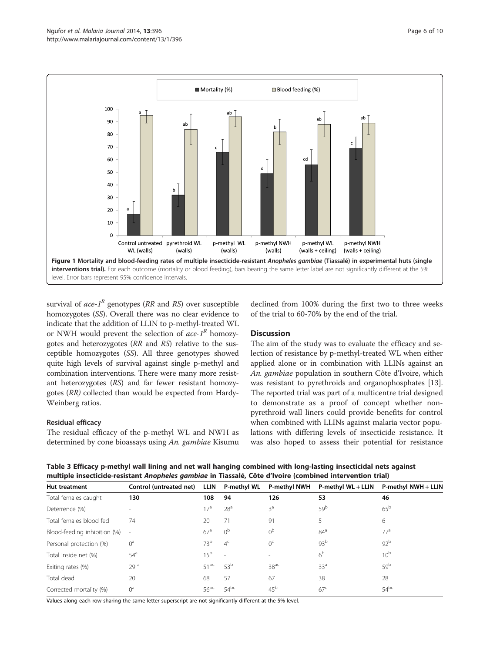<span id="page-6-0"></span>

survival of  $ace-I^R$  genotypes (RR and RS) over susceptible homozygotes (SS). Overall there was no clear evidence to indicate that the addition of LLIN to p-methyl-treated WL or NWH would prevent the selection of  $ace-I^R$  homozygotes and heterozygotes (RR and RS) relative to the susceptible homozygotes (SS). All three genotypes showed quite high levels of survival against single p-methyl and combination interventions. There were many more resistant heterozygotes (RS) and far fewer resistant homozygotes (RR) collected than would be expected from Hardy-Weinberg ratios.

## Residual efficacy

The residual efficacy of the p-methyl WL and NWH as determined by cone bioassays using An. gambiae Kisumu

declined from 100% during the first two to three weeks of the trial to 60-70% by the end of the trial.

## **Discussion**

The aim of the study was to evaluate the efficacy and selection of resistance by p-methyl-treated WL when either applied alone or in combination with LLINs against an An. gambiae population in southern Côte d'Ivoire, which was resistant to pyrethroids and organophosphates [\[13](#page-9-0)]. The reported trial was part of a multicentre trial designed to demonstrate as a proof of concept whether nonpyrethroid wall liners could provide benefits for control when combined with LLINs against malaria vector populations with differing levels of insecticide resistance. It was also hoped to assess their potential for resistance

Table 3 Efficacy p-methyl wall lining and net wall hanging combined with long-lasting insecticidal nets against multiple insecticide-resistant Anopheles gambiae in Tiassalé, Côte d'Ivoire (combined intervention trial)

| manders mocedaries resistant ringencies gaments in riassare, core a none (computed meet rendern trian |                         |                 |                 |                  |                    |                     |  |
|-------------------------------------------------------------------------------------------------------|-------------------------|-----------------|-----------------|------------------|--------------------|---------------------|--|
| Hut treatment                                                                                         | Control (untreated net) | <b>LLIN</b>     | P-methyl WL     | P-methyl NWH     | P-methyl WL + LLIN | P-methyl NWH + LLIN |  |
| Total females caught                                                                                  | 130                     | 108             | 94              | 126              | 53                 | 46                  |  |
| Deterrence (%)                                                                                        |                         | 17 <sup>a</sup> | 28 <sup>a</sup> | 3 <sup>a</sup>   | 59 <sup>b</sup>    | 65 <sup>b</sup>     |  |
| Total females blood fed                                                                               | 74                      | 20              | 71              | 91               | 5                  | 6                   |  |
| Blood-feeding inhibition (%)                                                                          |                         | 67 <sup>a</sup> | 0 <sup>b</sup>  | $0^{\rm b}$      | 84 <sup>a</sup>    | $77^a$              |  |
| Personal protection (%)                                                                               | $0^a$                   | 73 <sup>b</sup> | 4 <sup>c</sup>  | 0 <sup>c</sup>   | 93 <sup>b</sup>    | 92 <sup>b</sup>     |  |
| Total inside net (%)                                                                                  | $54^{\circ}$            | 15 <sup>b</sup> |                 |                  | 6 <sup>b</sup>     | 10 <sup>b</sup>     |  |
| Exiting rates (%)                                                                                     | 29 <sup>a</sup>         | $51^{bc}$       | 53 <sup>b</sup> | 38 <sup>ac</sup> | 33 <sup>a</sup>    | 59 <sup>b</sup>     |  |
| Total dead                                                                                            | 20                      | 68              | 57              | 67               | 38                 | 28                  |  |
| Corrected mortality (%)                                                                               | $0^a$                   | $56^{bc}$       | $54^{bc}$       | $45^{\rm b}$     | 67 <sup>c</sup>    | $54^{bc}$           |  |

Values along each row sharing the same letter superscript are not significantly different at the 5% level.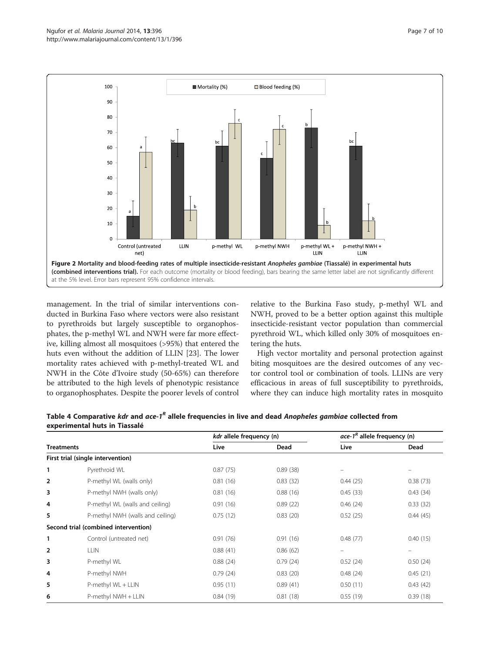<span id="page-7-0"></span>

management. In the trial of similar interventions conducted in Burkina Faso where vectors were also resistant to pyrethroids but largely susceptible to organophosphates, the p-methyl WL and NWH were far more effective, killing almost all mosquitoes (>95%) that entered the huts even without the addition of LLIN [\[23](#page-10-0)]. The lower mortality rates achieved with p-methyl-treated WL and NWH in the Côte d'Ivoire study (50-65%) can therefore be attributed to the high levels of phenotypic resistance to organophosphates. Despite the poorer levels of control

relative to the Burkina Faso study, p-methyl WL and NWH, proved to be a better option against this multiple insecticide-resistant vector population than commercial pyrethroid WL, which killed only 30% of mosquitoes entering the huts.

High vector mortality and personal protection against biting mosquitoes are the desired outcomes of any vector control tool or combination of tools. LLINs are very efficacious in areas of full susceptibility to pyrethroids, where they can induce high mortality rates in mosquito

|                   | kdr allele frequency (n)             |          |          | ace-1 <sup><math>R</math></sup> allele frequency (n) |          |
|-------------------|--------------------------------------|----------|----------|------------------------------------------------------|----------|
| <b>Treatments</b> |                                      | Live     | Dead     | Live                                                 | Dead     |
|                   | First trial (single intervention)    |          |          |                                                      |          |
| 1                 | Pyrethroid WL                        | 0.87(75) | 0.89(38) |                                                      |          |
| 2                 | P-methyl WL (walls only)             | 0.81(16) | 0.83(32) | 0.44(25)                                             | 0.38(73) |
| 3                 | P-methyl NWH (walls only)            | 0.81(16) | 0.88(16) | 0.45(33)                                             | 0.43(34) |
| 4                 | P-methyl WL (walls and ceiling)      | 0.91(16) | 0.89(22) | 0.46(24)                                             | 0.33(32) |
| 5                 | P-methyl NWH (walls and ceiling)     | 0.75(12) | 0.83(20) | 0.52(25)                                             | 0.44(45) |
|                   | Second trial (combined intervention) |          |          |                                                      |          |
| 1                 | Control (untreated net)              | 0.91(76) | 0.91(16) | 0.48(77)                                             | 0.40(15) |
| 2                 | <b>LLIN</b>                          | 0.88(41) | 0.86(62) |                                                      | $\equiv$ |
| 3                 | P-methyl WL                          | 0.88(24) | 0.79(24) | 0.52(24)                                             | 0.50(24) |
| 4                 | P-methyl NWH                         | 0.79(24) | 0.83(20) | 0.48(24)                                             | 0.45(21) |
| 5                 | P-methyl WL + LLIN                   | 0.95(11) | 0.89(41) | 0.50(11)                                             | 0.43(42) |
| 6                 | P-methyl NWH + LLIN                  | 0.84(19) | 0.81(18) | 0.55(19)                                             | 0.39(18) |

Table 4 Comparative  $kdr$  and  $ace-1^R$  allele frequencies in live and dead Anopheles gambiae collected from experimental huts in Tiassalé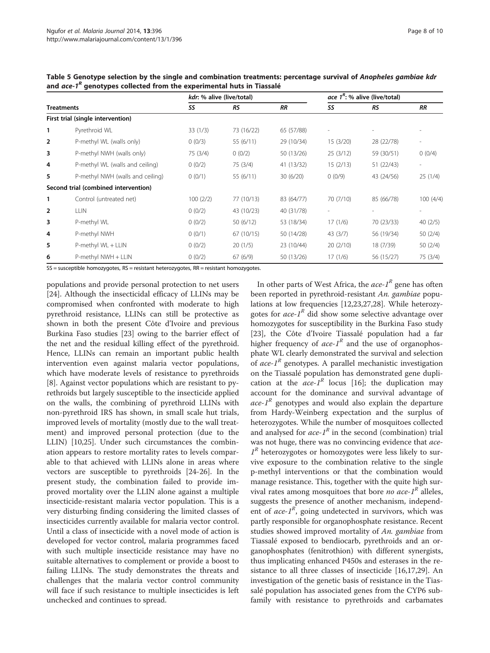| RR                       |
|--------------------------|
|                          |
|                          |
|                          |
|                          |
| 0(0/4)                   |
| $\overline{\phantom{a}}$ |
| 25(1/4)                  |
|                          |
| 100(4/4)                 |
| ٠                        |
| 40(2/5)                  |
| 50(2/4)                  |
| 50(2/4)                  |
| 75 (3/4)                 |
|                          |

<span id="page-8-0"></span>Table 5 Genotype selection by the single and combination treatments: percentage survival of Anopheles gambiae kdr and  $ace-1<sup>R</sup>$  genotypes collected from the experimental huts in Tiassalé

 $SS =$  susceptible homozygotes,  $RS =$  resistant heterozygotes,  $RR =$  resistant homozygotes.

populations and provide personal protection to net users [[24\]](#page-10-0). Although the insecticidal efficacy of LLINs may be compromised when confronted with moderate to high pyrethroid resistance, LLINs can still be protective as shown in both the present Côte d'Ivoire and previous Burkina Faso studies [\[23](#page-10-0)] owing to the barrier effect of the net and the residual killing effect of the pyrethroid. Hence, LLINs can remain an important public health intervention even against malaria vector populations, which have moderate levels of resistance to pyrethroids [[8\]](#page-9-0). Against vector populations which are resistant to pyrethroids but largely susceptible to the insecticide applied on the walls, the combining of pyrethroid LLINs with non-pyrethroid IRS has shown, in small scale hut trials, improved levels of mortality (mostly due to the wall treatment) and improved personal protection (due to the LLIN) [[10](#page-9-0),[25](#page-10-0)]. Under such circumstances the combination appears to restore mortality rates to levels comparable to that achieved with LLINs alone in areas where vectors are susceptible to pyrethroids [\[24-26](#page-10-0)]. In the present study, the combination failed to provide improved mortality over the LLIN alone against a multiple insecticide-resistant malaria vector population. This is a very disturbing finding considering the limited classes of insecticides currently available for malaria vector control. Until a class of insecticide with a novel mode of action is developed for vector control, malaria programmes faced with such multiple insecticide resistance may have no suitable alternatives to complement or provide a boost to failing LLINs. The study demonstrates the threats and challenges that the malaria vector control community will face if such resistance to multiple insecticides is left unchecked and continues to spread.

In other parts of West Africa, the  $ace-I^R$  gene has often been reported in pyrethroid-resistant An. gambiae populations at low frequencies [[12](#page-9-0)[,23,27,28](#page-10-0)]. While heterozygotes for  $ace-I^R$  did show some selective advantage over homozygotes for susceptibility in the Burkina Faso study [[23\]](#page-10-0), the Côte d'Ivoire Tiassalé population had a far higher frequency of  $ace-I^R$  and the use of organophosphate WL clearly demonstrated the survival and selection of *ace-1<sup>R</sup>* genotypes. A parallel mechanistic investigation on the Tiassalé population has demonstrated gene duplication at the *ace-1<sup>R</sup>* locus [\[16\]](#page-9-0); the duplication may account for the dominance and survival advantage of *ace-1<sup>R</sup>* genotypes and would also explain the departure from Hardy-Weinberg expectation and the surplus of heterozygotes. While the number of mosquitoes collected and analysed for  $ace-I^R$  in the second (combination) trial was not huge, there was no convincing evidence that ace- $1<sup>R</sup>$  heterozygotes or homozygotes were less likely to survive exposure to the combination relative to the single p-methyl interventions or that the combination would manage resistance. This, together with the quite high survival rates among mosquitoes that bore no ace- $I<sup>R</sup>$  alleles, suggests the presence of another mechanism, independent of  $ace-I^R$ , going undetected in survivors, which was partly responsible for organophosphate resistance. Recent studies showed improved mortality of An. gambiae from Tiassalé exposed to bendiocarb, pyrethroids and an organophosphates (fenitrothion) with different synergists, thus implicating enhanced P450s and esterases in the resistance to all three classes of insecticide [\[16](#page-9-0)[,17,29](#page-10-0)]. An investigation of the genetic basis of resistance in the Tiassalé population has associated genes from the CYP6 subfamily with resistance to pyrethroids and carbamates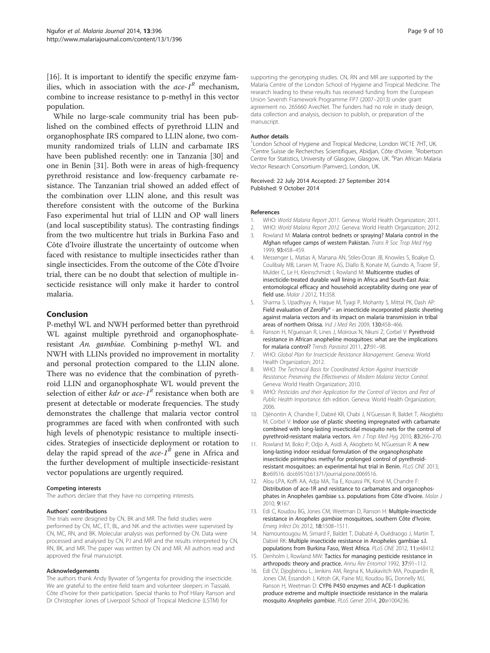<span id="page-9-0"></span>[16]. It is important to identify the specific enzyme families, which in association with the  $ace-I^R$  mechanism, combine to increase resistance to p-methyl in this vector population.

While no large-scale community trial has been published on the combined effects of pyrethroid LLIN and organophosphate IRS compared to LLIN alone, two community randomized trials of LLIN and carbamate IRS have been published recently: one in Tanzania [[30](#page-10-0)] and one in Benin [[31\]](#page-10-0). Both were in areas of high-frequency pyrethroid resistance and low-frequency carbamate resistance. The Tanzanian trial showed an added effect of the combination over LLIN alone, and this result was therefore consistent with the outcome of the Burkina Faso experimental hut trial of LLIN and OP wall liners (and local susceptibility status). The contrasting findings from the two multicentre hut trials in Burkina Faso and Côte d'Ivoire illustrate the uncertainty of outcome when faced with resistance to multiple insecticides rather than single insecticides. From the outcome of the Côte d'Ivoire trial, there can be no doubt that selection of multiple insecticide resistance will only make it harder to control malaria.

# Conclusion

P-methyl WL and NWH performed better than pyrethroid WL against multiple pyrethroid and organophosphateresistant An. gambiae. Combining p-methyl WL and NWH with LLINs provided no improvement in mortality and personal protection compared to the LLIN alone. There was no evidence that the combination of pyrethroid LLIN and organophosphate WL would prevent the selection of either  $kdr$  or ace- $1<sup>R</sup>$  resistance when both are present at detectable or moderate frequencies. The study demonstrates the challenge that malaria vector control programmes are faced with when confronted with such high levels of phenotypic resistance to multiple insecticides. Strategies of insecticide deployment or rotation to delay the rapid spread of the  $ace-I^R$  gene in Africa and the further development of multiple insecticide-resistant vector populations are urgently required.

#### Competing interests

The authors declare that they have no competing interests.

#### Authors' contributions

The trials were designed by CN, BK and MR. The field studies were performed by CN, MC, ET, BL, and NK and the activities were supervised by CN, MC, RN, and BK. Molecular analysis was performed by CN. Data were processed and analysed by CN, PJ and MR and the results interpreted by CN, RN, BK, and MR. The paper was written by CN and MR. All authors read and approved the final manuscript.

#### Acknowledgements

The authors thank Andy Bywater of Syngenta for providing the insecticide. We are grateful to the entire field team and volunteer sleepers in Tiassalé, Côte d'Ivoire for their participation. Special thanks to Prof Hilary Ranson and Dr Christopher Jones of Liverpool School of Tropical Medicine (LSTM) for

supporting the genotyping studies. CN, RN and MR are supported by the Malaria Centre of the London School of Hygiene and Tropical Medicine. The research leading to these results has received funding from the European Union Seventh Framework Programme FP7 (2007–2013) under grant agreement no. 265660 AvecNet. The funders had no role in study design, data collection and analysis, decision to publish, or preparation of the manuscript.

#### Author details

<sup>1</sup> London School of Hygiene and Tropical Medicine, London WC1E 7HT, UK <sup>2</sup>Centre Suisse de Recherches Scientifiques, Abidjan, Côte d'Ivoire. <sup>3</sup>Robertson Centre for Statistics, University of Glasgow, Glasgow, UK. <sup>4</sup>Pan African Malaria Vector Research Consortium (Pamverc), London, UK.

Received: 22 July 2014 Accepted: 27 September 2014 Published: 9 October 2014

#### References

- 1. WHO: World Malaria Report 2011. Geneva: World Health Organization; 2011.
- 2. WHO: *World Malaria Report 2012*. Geneva: World Health Organization; 2012.<br>3. Rowland M: **Malaria control: bednets or spraving? Malaria control in the**
- Rowland M: Malaria control: bednets or spraying? Malaria control in the Afghan refugee camps of western Pakistan. Trans R Soc Trop Med Hyg 1999, 93:458–459.
- 4. Messenger L, Matias A, Manana AN, Stiles-Ocran JB, Knowles S, Boakye D, Coulibaly MB, Larsen M, Traore AS, Diallo B, Konate M, Guindo A, Traore SF, Mulder C, Le H, Kleinschmidt I, Rowland M: Multicentre studies of insecticide-treated durable wall lining in Africa and South-East Asia: entomological efficacy and household acceptability during one year of field use. Malar 1 2012, 11:358.
- 5. Sharma S, Upadhyay A, Haque M, Tyagi P, Mohanty S, Mittal PK, Dash AP: Field evaluation of ZeroFly® - an insecticide incorporated plastic sheeting against malaria vectors and its impact on malaria transmission in tribal areas of northern Orissa. Ind J Med Res 2009, 130:458–466.
- 6. Ranson H, N'guessan R, Lines J, Moiroux N, Nkuni Z, Corbel V: Pyrethroid resistance in African anopheline mosquitoes: what are the implications for malaria control? Trends Parasitol 2011, 27:91–98.
- 7. WHO: Global Plan for Insecticide Resistance Management. Geneva: World Health Organization; 2012.
- 8. WHO: The Technical Basis for Coordinated Action Against Insecticide Resistance: Preserving the Effectiveness of Modern Malaria Vector Control. Geneva: World Health Organization; 2010.
- 9. WHO: Pesticides and their Application for the Control of Vectors and Pest of Public Health Importance. 6th edition. Geneva: World Health Organization; 2006.
- 10. Djènontin A, Chandre F, Dabiré KR, Chabi J, N'Guessan R, Baldet T, Akogbéto M, Corbel V: Indoor use of plastic sheeting impregnated with carbamate combined with long-lasting insecticidal mosquito nets for the control of pyrethroid-resistant malaria vectors. Am J Trop Med Hyg 2010, 83:266–270.
- 11. Rowland M, Boko P, Odjo A, Asidi A, Akogbeto M, N'Guessan R: A new long-lasting indoor residual formulation of the organophosphate insecticide pirimiphos methyl for prolonged control of pyrethroidresistant mosquitoes: an experimental hut trial in Benin. PLoS ONE 2013, 8:e69516. doi:69510.61371/journal.pone.0069516.
- 12. Alou LPA, Koffi AA, Adja MA, Tia E, Kouassi PK, Koné M, Chandre F: Distribution of ace-1R and resistance to carbamates and organophosphates in Anopheles gambiae s.s. populations from Côte d'Ivoire. Malar J 2010, 9:167.
- 13. Edi C, Koudou BG, Jones CM, Weetman D, Ranson H: Multiple-insecticide resistance in Anopheles gambiae mosquitoes, southern Côte d'Ivoire. Emerg Infect Dis 2012, 18:1508-1511.
- 14. Namountougou M, Simard F, Baldet T, Diabaté A, Ouédraogo J, Martin T, Dabiré RK: Multiple insecticide resistance in Anopheles gambiae s.l. populations from Burkina Faso, West Africa. PLoS ONE 2012, 11:e48412.
- 15. Denholm I, Rowland MW: Tactics for managing pesticide resistance in arthropods: theory and practice. Annu Rev Entomol 1992, 37:91–112.
- 16. Edi CV, Djogbénou L, Jenkins AM, Regna K, Muskavitch MA, Poupardin R, Jones CM, Essandoh J, Kétoh GK, Paine MJ, Koudou BG, Donnelly MJ, Ranson H, Weetman D: CYP6 P450 enzymes and ACE-1 duplication produce extreme and multiple insecticide resistance in the malaria mosquito Anopheles gambiae. PLoS Genet 2014, 20:e1004236.